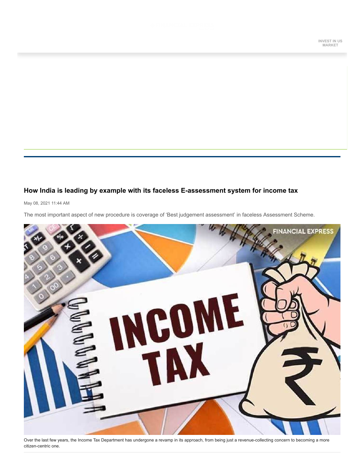## **How India is leading by example with its faceless E-assessment system for income tax**

May 08, 2021 11:44 AM

The most important aspect of new procedure is coverage of 'Best judgement assessment' in faceless Assessment Scheme.



Over the last few years, the Income Tax Department has undergone a revamp in its approach, from being just a revenue-collecting concern to becoming a more citizen-centric one.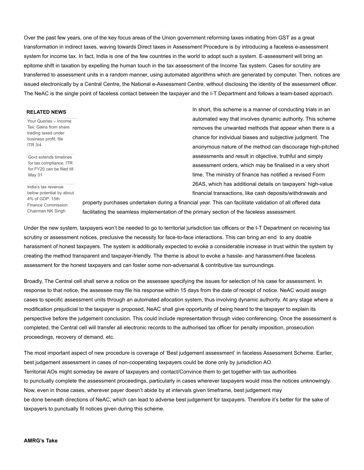Over the past few years, one of the key focus areas of the Union government reforming taxes initiating from GST as a great transformation in indirect taxes, waving towards Direct taxes in Assessment Procedure is by introducing a faceless e-assessment system for income tax. In fact, India is one of the few countries in the world to adopt such a system. E-assessment will bring an epitome shift in taxation by expelling the human touch in the tax assessment of the Income Tax system. Cases for scrutiny are transferred to assessment units in a random manner, using automated algorithms which are generated by computer. Then, notices are issued electronically by a Central Centre, the National e-Assessment Centre, without disclosing the identity of the assessment officer. The NeAC is the single point of faceless contact between the taxpayer and the I-T Department and follows a team-based approach.

## **RELATED NEWS**

[Your Queries – Income](https://www.financialexpress.com/money/income-tax/your-queries-income-tax-gains-from-share-trading-taxed-under-business-profit-file-itr-3-4/2245835/) Tax: Gains from share trading taxed under business profit, file ITR 3/4

Govt extends timelines for tax compliance, ITR [for FY20 can be filed till](https://www.financialexpress.com/money/income-tax/govt-extends-timelines-for-tax-compliance-itr-for-fy20-can-be-filed-till-may-31/2243642/) May 31

India's tax revenue [below potential by about](https://www.financialexpress.com/economy/indias-tax-revenue-below-potential-by-about-4-of-gdp-15th-finance-commission-chairman-nk-singh/2239130/) 4% of GDP: 15th Finance Commission Chairman NK Singh

In short, this scheme is a manner of conducting trials in an automated way that involves dynamic authority. This scheme removes the unwanted methods that appear when there is a chance for individual biases and subjective judgment. The anonymous nature of the method can discourage high-pitched assessments and result in objective, truthful and simply assessment orders, which may be finalised in a very short time. The ministry of finance has notified a revised Form 26AS, which has additional details on taxpayers' high-value financial transactions, like cash deposits/withdrawals and

property purchases undertaken during a financial year. This can facilitate validation of all offered data facilitating the seamless implementation of the primary section of the faceless assessment.

Under the new system, taxpayers won't be needed to go to territorial jurisdiction tax officers or the I-T Department on receiving tax scrutiny or assessment notices, preclusive the necessity for face-to-face interactions. This can bring an end to any doable harassment of honest taxpayers. The system is additionally expected to evoke a considerable increase in trust within the system by creating the method transparent and taxpayer-friendly. The theme is about to evoke a hassle- and harassment-free faceless assessment for the honest taxpayers and can foster some non-adversarial & contributive tax surroundings.

Broadly, The Central cell shall serve a notice on the assessee specifying the issues for selection of his case for assessment. In response to that notice, the assessee may file his response within 15 days from the date of receipt of notice. NeAC would assign cases to specific assessment units through an automated allocation system, thus involving dynamic authority. At any stage where a modification prejudicial to the taxpayer is proposed, NeAC shall give opportunity of being heard to the taxpayer to explain its perspective before the judgement conclusion. This could include representation through video conferencing. Once the assessment is completed, the Central cell will transfer all electronic records to the authorised tax officer for penalty imposition, prosecution proceedings, recovery of demand, etc.

The most important aspect of new procedure is coverage of 'Best judgement assessment' in faceless Assessment Scheme. Earlier, best judgement assessment in cases of non-cooperating taxpayers could be done only by jurisdiction AO. Territorial AOs might someday be aware of taxpayers and contact/Convince them to get together with tax authorities to punctually complete the assessment proceedings, particularly in cases wherever taxpayers would miss the notices unknowingly. Now, even in those cases, wherever payer doesn't abide by at intervals given timeframe, best judgement may be done beneath directions of NeAC, which can lead to adverse best judgement for taxpayers. Therefore it's better for the sake of taxpayers to punctually fit notices given during this scheme.